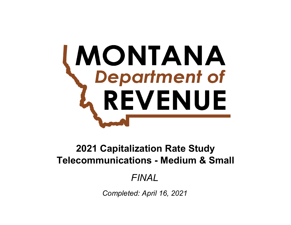# **MONTANA**<br>Chepartment of REVENUE

# **Telecommunications - Medium & Small 2021 Capitalization Rate Study**

# *FINAL*

*Completed: April 16, 2021*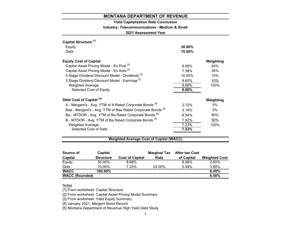# **Yield Capitalization Rate Conclusion**

**Industry: Telecommunications - Medium & Small**

**2021 Assessment Year**

| Capital Structure <sup>[1]</sup>                                       |          |           |
|------------------------------------------------------------------------|----------|-----------|
| Equity                                                                 | 30.00%   |           |
| Debt                                                                   | 70.00%   |           |
| <b>Equity Cost of Capital</b>                                          |          | Weighting |
| Capital Asset Pricing Model - Ex Post <sup>[2]</sup>                   | $9.06\%$ | 45%       |
| Capital Asset Pricing Model - Ex Ante [2]                              | 7.38%    | 35%       |
| 3 Stage Dividend Discount Model - Dividends <sup>[3]</sup>             | 10.50%   | 10%       |
| 3 Stage Dividend Discount Model - Earnings <sup>[3]</sup>              | 9.65%    | 10%       |
| <b>Weighted Average</b>                                                | 8.68%    | 100%      |
| Selected Cost of Equity                                                | 8.68%    |           |
| Debt Cost of Capital <sup>[4]</sup>                                    |          | Weighting |
| A - Mergent's - Avg. YTM of A Rated Corporate Bonds <sup>[4]</sup>     | 2.72%    | $0\%$     |
| Baa - Mergent's - Avg. YTM of Baa Rated Corporate Bonds <sup>[4]</sup> | 3.16%    | $0\%$     |
| Ba - MTDOR - Avg. YTM of Ba Rated Corporate Bonds [5]                  | 6.54%    | 50%       |
| B - MTDOR - Avg. YTM of Ba Rated Corporate Bonds <sup>[5]</sup>        | 7.92%    | 50%       |
| <b>Weighted Average</b>                                                | 7.23%    | 100%      |
| Selected Cost of Debt                                                  | 7.23%    |           |
|                                                                        |          |           |

# **Weighted Average Cost of Capital (WACC)**

| Source of             | Capital          |                        | <b>Marginal Tax</b> | <b>After-tax Cost</b> |                      |
|-----------------------|------------------|------------------------|---------------------|-----------------------|----------------------|
| Capital               | <b>Structure</b> | <b>Cost of Capital</b> | Rate                | of Capital            | <b>Weighted Cost</b> |
| Equity                | 30.00%           | 8.68%                  |                     | 8.68%                 | 2.60%                |
| Debt                  | 70.00%           | 7.23%                  | 24.00%              | 5.49%                 | 3.85%                |
| <b>WACC</b>           | 100.00%          |                        |                     |                       | 6.45%                |
| <b>WACC (Rounded)</b> |                  |                        |                     |                       | 6.50%                |

#### <u>Notes</u>

[1] From worksheet: Capital Structure

[2] From worksheet: Capital Asset Pricing Model Summary

[3] From worksheet: Yield Equity Summary

[4] January 2021, Mergent Bond Record

[5] Montana Department of Revenue High Yield Debt Study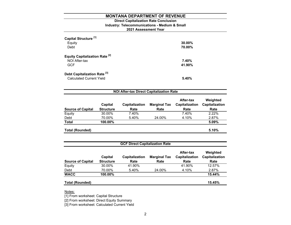# **2021 Assessment Year Industry: Telecommunications - Medium & Small Direct Capitalization Rate Conclusion**

| Capital Structure <sup>[1]</sup><br>Equity<br>Debt                         | $30.00\%$<br>70.00% |
|----------------------------------------------------------------------------|---------------------|
| <b>Equity Capitalization Rate [2]</b><br>NOI After-tax<br><b>GCF</b>       | 7.40%<br>41.90%     |
| Debt Capitalization Rate <sup>[3]</sup><br><b>Calculated Current Yield</b> | 5.40%               |

| <b>NOI After-tax Direct Capitalization Rate</b> |                             |                        |                             |                                     |                                    |  |  |  |
|-------------------------------------------------|-----------------------------|------------------------|-----------------------------|-------------------------------------|------------------------------------|--|--|--|
| <b>Source of Capital</b>                        | Capital<br><b>Structure</b> | Capitalization<br>Rate | <b>Marginal Tax</b><br>Rate | After-tax<br>Capitalization<br>Rate | Weighted<br>Capitalization<br>Rate |  |  |  |
| Equity                                          | 30.00%                      | 7.40%                  |                             | 7.40%                               | 2.22%                              |  |  |  |
| Debt                                            | 70.00%                      | 5.40%                  | 24.00%                      | 4.10%                               | 2.87%                              |  |  |  |
| <b>Total</b>                                    | 100.00%                     |                        |                             |                                     | 5.09%                              |  |  |  |
| <b>Total (Rounded)</b>                          |                             |                        |                             |                                     | 5.10%                              |  |  |  |

| <b>GCF Direct Capitalization Rate</b> |                             |                               |                             |                                     |                                    |  |  |  |
|---------------------------------------|-----------------------------|-------------------------------|-----------------------------|-------------------------------------|------------------------------------|--|--|--|
| <b>Source of Capital</b>              | Capital<br><b>Structure</b> | <b>Capitalization</b><br>Rate | <b>Marginal Tax</b><br>Rate | After-tax<br>Capitalization<br>Rate | Weighted<br>Capitalization<br>Rate |  |  |  |
| Equity                                | 30.00%                      | 41.90%                        |                             | 41.90%                              | 12.57%                             |  |  |  |
| Debt                                  | 70.00%                      | 5.40%                         | 24.00%                      | 4.10%                               | 2.87%                              |  |  |  |
| <b>WACC</b>                           | 100.00%                     |                               |                             |                                     | 15.44%                             |  |  |  |
| <b>Total (Rounded)</b>                |                             |                               |                             |                                     | 15.45%                             |  |  |  |

Notes:

[1] From worksheet: Capital Structure

[2] From worksheet: Direct Equity Summary

[3] From worksheet: Calculated Current Yield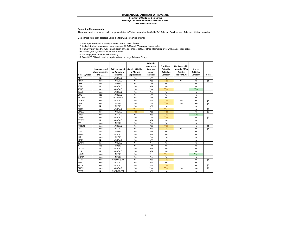#### **Selection of Guideline Companies Industry: Telecommunications - Medium & Small**

**2021 Assessment Year**

#### **Screening Requirements:**

The universe of companies is all companies listed in Value Line under the Cable TV, Telecom Services, and Telecom Utilities industries

Companies were then selected using the following screening criteria:

1. Headquartered and primarily operated in the United States.

2. Actively traded on an American exchange. All OTC and TO companies excluded.

3. Primarily provides two-way transmission of voice, image, data, or other information over wire, cable, fiber optics,

microwave, radio, satellite, or similar facilities.

4. Not engaged in material M&A activity.

5. Over \$100 Billion in market capitalization for Large Telecom Study.

| <b>Ticker Symbol</b> | Headquartered<br>/Incorporated in<br>the U.S. | <b>Actively traded</b><br>on American<br>exchange | Over \$100 Billion<br>in Market<br>Capitalization | Primarily<br>operates a<br>two-way<br>comm<br>network | <b>Consider as</b><br>Potential<br>Guideline<br>Company | Not Engaged in<br><b>Material M&amp;A</b><br><b>Activity</b><br>$(No = M&A)$ | Use as<br>Guideline<br>Company | <b>Note</b> |
|----------------------|-----------------------------------------------|---------------------------------------------------|---------------------------------------------------|-------------------------------------------------------|---------------------------------------------------------|------------------------------------------------------------------------------|--------------------------------|-------------|
| <b>AEY</b>           | No                                            | <b>NASDAQ</b>                                     | No                                                | N/A                                                   | No                                                      |                                                                              | No                             |             |
| <b>ALSK</b>          | Yes                                           | <b>NASDAQ</b>                                     | No                                                | Yes                                                   | Yes                                                     | <b>No</b>                                                                    | No                             | $[1]$       |
| AMX                  | No                                            | <b>NYSE</b>                                       | No                                                | N/A                                                   | No                                                      |                                                                              | No                             |             |
| <b>ATNI</b>          | No                                            | <b>NASDAQ</b>                                     | No                                                | N/A                                                   | No                                                      |                                                                              | No                             |             |
| <b>ATUS</b>          | Yes                                           | <b>NASDAQ</b>                                     | No                                                | Yes                                                   | Yes                                                     |                                                                              | Yes                            |             |
| <b>BAND</b>          | Yes                                           | <b>NASDAQ</b>                                     | No                                                | No                                                    | No                                                      |                                                                              | No                             |             |
| <b>BCE</b>           | No                                            | <b>NASDAQ</b>                                     | No                                                | N/A                                                   | No                                                      |                                                                              | No                             |             |
| <b>BCOMF</b>         | No                                            | NASdaqGS                                          | No                                                | N/A                                                   | No                                                      |                                                                              | No                             |             |
| CABO                 | Yes                                           | <b>NASDAQ</b>                                     | No                                                | Yes                                                   | Yes                                                     | No                                                                           | No                             | $[2]$       |
| CBB                  | Yes                                           | <b>NYSE</b>                                       | No                                                | Yes                                                   | Yes                                                     | No                                                                           | No                             | $[3]$       |
| CEL                  | No                                            | <b>NYSE</b>                                       | No                                                | N/A                                                   | No                                                      |                                                                              | No                             |             |
| <b>CHTR</b>          | Yes                                           | <b>NASDAQ</b>                                     | Yes                                               | Yes                                                   | Yes                                                     |                                                                              | No                             | $[9]$       |
| <b>CMSA</b>          | Yes                                           | <b>NASDAQ</b>                                     | Yes                                               | Yes                                                   | Yes                                                     |                                                                              | No                             | [9]         |
| CNSL                 | Yes                                           | NASDAQ                                            | No                                                | Yes                                                   | Yes                                                     |                                                                              | Yes                            |             |
| <b>DISH</b>          | Yes                                           | <b>NASDAQ</b>                                     | No                                                | No                                                    | Yes                                                     |                                                                              | No                             | [7]         |
| <b>DTEGY</b>         | No                                            | <b>NASDAQ</b>                                     | No                                                | N/A                                                   | No                                                      |                                                                              | No                             |             |
| DY                   | Yes                                           | <b>NYSE</b>                                       | No                                                | No                                                    | No                                                      |                                                                              | No                             |             |
| <b>FTRCQ</b>         | Yes                                           | <b>NASDAQ</b>                                     | No                                                | Yes                                                   | Yes                                                     |                                                                              | No                             | [4]         |
| GOGO                 | Yes                                           | <b>NASDAQ</b>                                     | No                                                | Yes                                                   | Yes                                                     | No                                                                           | No                             | $[5]$       |
| <b>GSAT</b>          | No                                            | <b>NYSE</b>                                       | No                                                | N/A                                                   | No                                                      |                                                                              | No                             |             |
| <b>HMTV</b>          | No                                            | <b>NASDAQ</b>                                     | No                                                | N/A                                                   | No                                                      |                                                                              | No                             |             |
| IDT                  | Yes                                           | <b>NYSE</b>                                       | No                                                | No                                                    | No                                                      |                                                                              | No                             |             |
| <b>IRDM</b>          | No                                            | <b>NASDAQ</b>                                     | No                                                | N/A                                                   | No                                                      |                                                                              | No                             |             |
| <b>JCOM</b>          | Yes                                           | <b>NASDAQ</b>                                     | No                                                | No                                                    | No                                                      |                                                                              | No                             |             |
| KT                   | No                                            | <b>NYSE</b>                                       | No                                                | N/A                                                   | No                                                      |                                                                              | No                             |             |
| LBTYA                | No                                            | <b>NASDAQ</b>                                     | No                                                | N/A                                                   | No                                                      |                                                                              | No                             |             |
| LILA                 | No                                            | <b>NASDAQ</b>                                     | No                                                | N/A                                                   | No                                                      |                                                                              | No                             |             |
| <b>LUMN</b>          | Yes                                           | <b>NYSE</b>                                       | No                                                | Yes                                                   | Yes                                                     |                                                                              | Yes                            |             |
| <b>OOMA</b>          | Yes                                           | <b>NYSE</b>                                       | No                                                | No                                                    | No                                                      |                                                                              | No                             |             |
| <b>OTEL</b>          | Yes                                           | NASDAQCM                                          | No                                                | Yes                                                   | Yes                                                     |                                                                              | No                             | [6]         |
| <b>RNET</b>          | Yes                                           | <b>NASDAQ</b>                                     | No                                                | Yes                                                   | No                                                      |                                                                              | No                             |             |
| <b>SATS</b>          | Yes                                           | <b>NASDAQ</b>                                     | No                                                | Yes                                                   | Yes                                                     |                                                                              | No                             | $[7]$       |
| <b>SHEN</b>          | Yes                                           | <b>NASDAQ</b>                                     | No                                                | Yes                                                   | Yes                                                     | No                                                                           | No                             | [8]         |
| <b>SYTA</b>          | No                                            | <b>NASDAQCM</b>                                   | No                                                | N/A                                                   | No                                                      |                                                                              | No                             |             |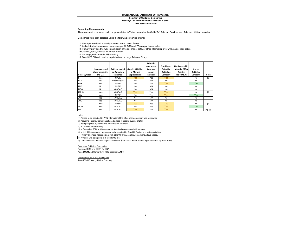#### **Selection of Guideline Companies**

**Industry: Telecommunications - Medium & Small**

**2021 Assessment Year**

#### **Screening Requirements:**

The universe of companies is all companies listed in Value Line under the Cable TV, Telecom Services, and Telecom Utilities industries

Companies were then selected using the following screening criteria:

1. Headquartered and primarily operated in the United States.

2. Actively traded on an American exchange. All OTC and TO companies excluded.

3. Primarily provides two-way transmission of voice, image, data, or other information over wire, cable, fiber optics,

microwave, radio, satellite, or similar facilities.

4. Not engaged in material M&A activity.

5. Over \$100 Billion in market capitalization for Large Telecom Study.

|                      |                                               |                                                   |                                                   | Primarily<br>operates a    | <b>Consider as</b>                | Not Engaged in                                           |                                |          |
|----------------------|-----------------------------------------------|---------------------------------------------------|---------------------------------------------------|----------------------------|-----------------------------------|----------------------------------------------------------|--------------------------------|----------|
| <b>Ticker Symbol</b> | Headquartered<br>/Incorporated in<br>the U.S. | <b>Actively traded</b><br>on American<br>exchange | Over \$100 Billion<br>in Market<br>Capitalization | two-way<br>comm<br>network | Potential<br>Guideline<br>Company | <b>Material M&amp;A</b><br><b>Activity</b><br>(No = M&A) | Use as<br>Guideline<br>Company | Note     |
| Iт                   | Yes                                           | <b>NYSE</b>                                       | <b>Yes</b>                                        | Yes                        | <b>Yes</b>                        |                                                          | No                             | [9]      |
| <b>TCX</b>           | No                                            | <b>NASDAQGS</b>                                   | No                                                | N/A                        | No                                |                                                          | No                             |          |
| <b>TDS</b>           | Yes                                           | <b>NYSE</b>                                       | No                                                | Yes                        | <b>Yes</b>                        |                                                          | <b>Yes</b>                     |          |
| <b>TEF</b>           | No                                            | <b>NYSE</b>                                       | No                                                | N/A                        | No                                |                                                          | No                             |          |
| <b>TIGO</b>          | No                                            | <b>NASDAQ</b>                                     | No                                                | N/A                        | No                                |                                                          | No                             |          |
| <b>TMUS</b>          | Yes                                           | <b>NASDAQ</b>                                     | <b>Yes</b>                                        | Yes                        | <b>Yes</b>                        |                                                          | No                             | [9]      |
| <b>USM</b>           | Yes                                           | <b>NYSE</b>                                       | No                                                | Yes                        | <b>Yes</b>                        |                                                          | <b>Yes</b>                     |          |
| VG                   | No                                            | <b>NASDAQ</b>                                     | No                                                | N/A                        | No                                |                                                          | No                             |          |
| VOD                  | No                                            | <b>NASDAQ</b>                                     | No                                                | N/A                        | No                                |                                                          | No                             |          |
| VZ                   | Yes                                           | <b>NYSE</b>                                       | <b>Yes</b>                                        | Yes                        | <b>Yes</b>                        |                                                          | No                             | [9]      |
| <b>WOW</b>           | Yes                                           | <b>NASDAQ</b>                                     | No                                                | Yes                        | <b>Yes</b>                        |                                                          | <b>Yes</b>                     |          |
| ZM                   | Yes                                           | <b>NASDAQ</b>                                     | <b>Yes</b>                                        | Yes                        | <b>Yes</b>                        |                                                          | No                             | [7], [9] |

#### Notes

[1] Agreed to be acquired by ATN International Inc. after prior agreement was terminated .

[2] Acquiring Hargray Communications to close in second quarter of 2021.

[3] Being acquired by Macquarie Infrastructure Partners.

[4] In Chapter 11 bankruptcy.

[5] In December 2020 sold Commercial Aviation Business and still unranked.

[6] In July 2020 annouced agreement to be acquired by Oak Hill Capital, a private equity firm.

[7] Primary business not consistent with other GPC.ie., satellite, broadband, cloud based.

[8] Wireless unit being sold to T-Mobile US Inc.

[9] Companies with a market capitalization over \$100 billion will be in the Large Telecom Cap Rate Study

#### Prior Year Guideline Companies

Removed CBB and SHEN for M&A Added USM and CenturyLink (CTL became LUMN)

#### Greater than \$100 MM market cap

Added TMUS as a guideline Company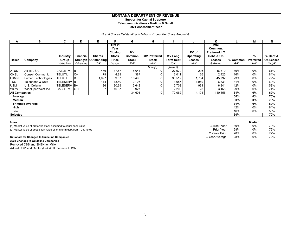# **Support for Capital Structure**

**Telecommunications - Medium & Small**

#### **2021 Assessment Year**

## *(\$ and Shares Outstanding In Millions, Except Per Share Amounts)*

| A                    | в                      | C                  | D          | Е.                     |                                                  | G                   | н                   |                  | J                  | ĸ                                               |            | М                | N                |
|----------------------|------------------------|--------------------|------------|------------------------|--------------------------------------------------|---------------------|---------------------|------------------|--------------------|-------------------------------------------------|------------|------------------|------------------|
|                      |                        | <b>Industry</b>    | Financial  | <b>Shares</b>          | <b>End of</b><br>Year<br>Closing<br><b>Stock</b> | <b>MV</b><br>Common | <b>MV Preferred</b> | <b>MV Long</b>   | PV of<br>Operating | Total<br>Common,<br>Preferred, LT<br>Debt, & Op |            | %                | % Debt &         |
| <b>Ticker</b>        | Company                | Group              |            | Strength   Outstanding | <b>Price</b>                                     | <b>Stock</b>        | <b>Stock</b>        | <b>Term Debt</b> | Leases             | Leases                                          | $%$ Common | <b>Preferred</b> | <b>Op Leases</b> |
|                      |                        | Value Line         | Value Line | $10-K$                 | Yahoo                                            | ExF                 | $10-K$              | 10-K             | 10-K               | $G+H+I+J$                                       | G/K        | H/K              | $(l+J)/K$        |
|                      |                        |                    |            |                        |                                                  |                     | Note [1]            | [Note 2]         |                    |                                                 |            |                  |                  |
| <b>ATUS</b>          | <b>Altice USA</b>      | <b>CABLETV</b>     | B          | 476                    | 37.87                                            | 18,044              | $\Omega$            | 27,970           | 296                | 46,310                                          | 39%        | $0\%$            | 61%              |
| <b>CNSL</b>          | Consol. Communic.      | <b>TELUTIL</b>     | $C+$       | 79                     | 4.89                                             | 387                 | 0                   | 2,011            | 26                 | 2,425                                           | 16%        | 0%               | 84%              |
| <b>LUMN</b>          | Lumen Technologies     | <b>TELUTIL</b>     | B          | 1,097                  | 9.57                                             | 10,496              | 0                   | 33,512           | 1,784              | 45,792                                          | 23%        | 0%               | 77%              |
| <b>TDS</b>           | Telephone & Data       | <b>TELESERV IB</b> |            | 114                    | 18.40                                            | 2,105               |                     | 3,657            | 1,069              | 6,831                                           | 31%        | 0%               | 69%              |
| <b>USM</b>           | U.S. Cellular          | TELESERV B+        |            | 86                     | 30.69                                            | 2,642               | 0                   | 2,708            | 991                | 6,341                                           | 42%        | 0%               | 58%              |
| <b>WOW</b>           | WideOpenWest Inc.      | <b>CABLETV</b>     | $C++$      | 87                     | 10.67                                            | 927                 | 0                   | 2,203            | 28                 | 3,158                                           | 29%        | 0%               | 71%              |
| <b>All Companies</b> |                        |                    |            |                        |                                                  | 34,601              | $\overline{0}$      | 72,062           | 4,194              | 110,856                                         | 31%        | 0%               | 69%              |
| Average              |                        |                    |            |                        |                                                  |                     |                     |                  |                    |                                                 | 30%        | 0%               | 70%              |
| Median               |                        |                    |            |                        |                                                  |                     |                     |                  |                    |                                                 | 30%        | 0%               | 70%              |
|                      | <b>Trimmed Average</b> |                    |            |                        |                                                  |                     |                     |                  |                    |                                                 | 31%        | 0%               | 69%              |
| High                 |                        |                    |            |                        |                                                  |                     |                     |                  |                    |                                                 | 42%        | 0%               | 84%              |
| Low                  |                        |                    |            |                        |                                                  |                     |                     |                  |                    |                                                 | 16%        | 0%               | 58%              |
| <b>Selected</b>      |                        |                    |            |                        |                                                  |                     |                     |                  |                    |                                                 | 30%        |                  | 70%              |

2 Years Prior 28% 0% 72%

**Median**

72%

[1] Market value of preferred stock assumed to equal book value Cover Current Year 30% 70% 70% 70%

[2] Market value of debt is fair value of long term debt from 10-K notes **Prior Year** 28% 0% 72% 72%

# **Rationale for Changes to Guideline Companies** 3 Year Average 28% 0% 72%

**2021 Changes to Guideline Companies**

Removed CBB and SHEN for M&A Added USM and CenturyLink (CTL became LUMN)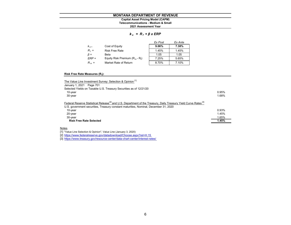# **Telecommunications - Medium & Small Capital Asset Pricing Model (CAPM)**

**2021 Assessment Year**

#### *k <sup>e</sup>= R <sup>f</sup><sup>+</sup>β x ERP*

|           |                                   | Ex Post | Ex Ante |
|-----------|-----------------------------------|---------|---------|
| $K_{e}$   | Cost of Equity                    | 9.06%   | 7.38%   |
| $R_f =$   | <b>Risk Free Rate</b>             | 1.45%   | 1.45%   |
| $\beta =$ | Beta                              | 1.05    | 1.05    |
| $ERP =$   | Equity Risk Premium $(R_m - R_f)$ | 7.25%   | 5.65%   |
| $R_m =$   | Market Rate of Return             | 8.70%   | 7.10%   |

#### **Risk Free Rate Measures (Rf):**

| The Value Line Investment Survey: Selection & Opinion <sup>[1]</sup>                                                                                                                                                            |       |
|---------------------------------------------------------------------------------------------------------------------------------------------------------------------------------------------------------------------------------|-------|
| January 1, 2021 Page 701                                                                                                                                                                                                        |       |
| Selected Yields on Taxable U.S. Treasury Securities as of 12/21/20                                                                                                                                                              |       |
| 10-year                                                                                                                                                                                                                         | 0.95% |
| 30-year                                                                                                                                                                                                                         | 1.68% |
| Federal Reserve Statistical Release <sup>[2]</sup> and U.S. Department of the Treasury, Daily Treasury Yield Curve Rates <sup>[3]</sup><br>U.S. government securities, Treasury constant maturities, Nominal, December 31, 2020 |       |
| 10-year                                                                                                                                                                                                                         | 0.93% |
| $20$ -year                                                                                                                                                                                                                      | 1.45% |
| 30-year                                                                                                                                                                                                                         | 1.65% |
| <b>Risk Free Rate Selected</b>                                                                                                                                                                                                  | 1.45% |

#### <u>Notes</u>

[1] "Value Line Selection & Opinion", Value Line (January 3, 2020)

[2] https://www.federalreserve.gov/datadownload/Choose.aspx?rel=H.15

[3] https://www.treasury.gov/resource-center/data-chart-center/interest-rates/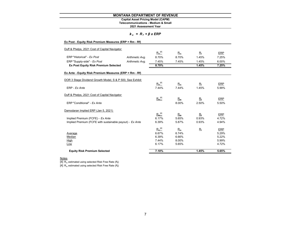# **Telecommunications - Medium & Small Capital Asset Pricing Model (CAPM)**

**2021 Assessment Year**

| $k_e$ |  |  |  | $= R_{f} + \beta x ERP$ |
|-------|--|--|--|-------------------------|
|-------|--|--|--|-------------------------|

| Ex Post - Equity Risk Premium Measures (ERP = Rm - Rf)    |                 |             |       |             |       |
|-----------------------------------------------------------|-----------------|-------------|-------|-------------|-------|
| Duff & Phelps, 2021 Cost of Capital Navigator             |                 |             |       |             |       |
|                                                           |                 | $R_m^{[4]}$ | $R_m$ | $R_{\rm f}$ | ERP   |
| ERP "Historical" - Ex Post                                | Arithmetic Avg. | 8.70%       | 8.70% | 1.45%       | 7.25% |
| ERP "Supply-side" - Ex Post                               | Arithmetic Avg. | 7.45%       | 7.45% | 1.45%       | 6.00% |
| <b>Ex Post Equity Risk Premium Selected</b>               |                 | 8.70%       |       | 1.45%       | 7.25% |
| Ex Ante - Equity Risk Premium Measures (ERP = Rm - Rf)    |                 |             |       |             |       |
| DOR 3 Stage Dividend Growth Model, S & P 500, See Exhibit |                 |             |       |             |       |
|                                                           |                 | $R_m^{[4]}$ | $R_m$ | $R_{\rm f}$ | ERP   |
| ERP - Ex Ante                                             |                 | 7.44%       | 7.44% | 1.45%       | 5.99% |
| Duff & Phelps, 2021 Cost of Capital Navigator             |                 |             |       |             |       |
|                                                           |                 | $R_m^{[4]}$ | $R_m$ | $R_{\rm f}$ | ERP   |
| ERP "Conditional" - Ex Ante                               |                 |             | 8.00% | 2.50%       | 5.50% |
| Damodaran Implied ERP (Jan 5, 2021)                       |                 |             |       |             |       |
|                                                           |                 | $R_m^{[4]}$ | $R_m$ | $R_{\rm f}$ | ERP   |
| Implied Premium (FCFE) - Ex Ante                          |                 | 6.17%       | 5.65% | 0.93%       | 4.72% |
| Implied Premium (FCFE with sustainable payout) - Ex Ante  |                 | 6.39%       | 5.87% | 0.93%       | 4.94% |
|                                                           |                 | $R_m^{[4]}$ | $R_m$ | $R_{\rm f}$ | ERP   |
| Average                                                   |                 | 6.67%       | 6.74% |             | 5.29% |
| Median                                                    |                 | 6.39%       | 6.66% |             | 5.22% |
| High                                                      |                 | 7.44%       | 8.00% |             | 5.99% |
| Low                                                       |                 | 6.17%       | 5.65% |             | 4.72% |
| <b>Equity Risk Premium Selected</b>                       |                 | 7.10%       |       | 1.45%       | 5.65% |

<u>Notes</u><br>[4] R<sub>m</sub> estimated using selected Risk Free Rate (R<sub>t</sub>)

[4]  $R_m$  estimated using selected Risk Free Rate  $(R_f)$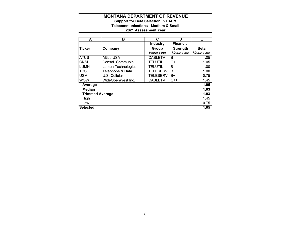# **2021 Assessment Year Telecommunications - Medium & Small Support for Beta Selection in CAPM**

| A                      | в                  | C               | D                | Е           |
|------------------------|--------------------|-----------------|------------------|-------------|
|                        |                    | <b>Industry</b> | <b>Financial</b> |             |
| <b>Ticker</b>          | Company            | Group           | <b>Strength</b>  | <b>Beta</b> |
|                        |                    | Value Line      | Value Line       | Value Line  |
| <b>ATUS</b>            | <b>Altice USA</b>  | <b>CABLETV</b>  | в                | 1.05        |
| <b>CNSL</b>            | Consol. Communic.  | <b>TELUTIL</b>  | $C+$             | 1.05        |
| LUMN                   | Lumen Technologies | <b>TELUTIL</b>  | B                | 1.00        |
| <b>TDS</b>             | Telephone & Data   | <b>TELESERV</b> | B                | 1.00        |
| <b>USM</b>             | U.S. Cellular      | <b>TELESERV</b> | B+               | 0.75        |
| <b>WOW</b>             | WideOpenWest Inc.  | <b>CABLETV</b>  | $C++$            | 1.45        |
| Average                |                    |                 |                  | 1.05        |
| <b>Median</b>          |                    |                 |                  | 1.03        |
| <b>Trimmed Average</b> |                    |                 |                  | 1.03        |
| High                   |                    |                 |                  | 1.45        |
| Low                    |                    |                 |                  | 0.75        |
| <b>Selected</b>        |                    |                 |                  | 1.05        |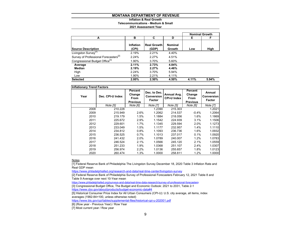#### **Inflation & Real Growth**

**Telecommunications - Medium & Small**

#### **2021 Assessment Year**

|                                                   |                    |                             |                          |       | <b>Nominal Growth</b> |
|---------------------------------------------------|--------------------|-----------------------------|--------------------------|-------|-----------------------|
| A                                                 | в                  | C                           | D                        | Е     | F                     |
| <b>Source Description</b>                         | Inflation<br>(CPI) | <b>Real Growth</b><br>(GDP) | <b>Nominal</b><br>Growth | Low   | High                  |
| Livingston Survey <sup>[1]</sup>                  | 2.19%              | 2.21%                       | 4.40%                    |       |                       |
| Survey of Professional Forecasters <sup>[2]</sup> | 2.24%              | 2.27%                       | 4.51%                    |       |                       |
| Congressional Budget Office <sup>[3]</sup>        | 1.90%              | 3.70%                       | 5.60%                    |       |                       |
| Average                                           | 2.11%              | 2.73%                       | 4.84%                    |       |                       |
| Median                                            | 2.19%              | 2.27%                       | 4.46%                    |       |                       |
| High                                              | 2.24%              | 3.70%                       | 5.94%                    |       |                       |
| Low                                               | 1.90%              | 2.21%                       | 4.11%                    |       |                       |
| <b>Selected</b>                                   | 2.00%              | 2.50%                       | 4.50%                    | 4.11% | 5.94%                 |

| <b>Inflationary Trend Factors</b> |                  |                                              |                                      |                                   |                                                     |                                              |
|-----------------------------------|------------------|----------------------------------------------|--------------------------------------|-----------------------------------|-----------------------------------------------------|----------------------------------------------|
| Year                              | Dec. CPI-U Index | Percent<br>Change<br>From<br><b>Previous</b> | Dec. to Dec.<br>Conversion<br>Factor | Annual Avg.<br><b>CPI-U Index</b> | Percent<br>Change<br><b>From</b><br><b>Previous</b> | Annual<br><b>Conversion</b><br><b>Factor</b> |
|                                   | Note [5]         | Note [6]                                     | Note [7]                             | Note [5]                          | Note [6]                                            | Note [7]                                     |
| 2008                              | 210.228          |                                              | 1.2390                               | 215.303                           |                                                     | 1.2021                                       |
| 2009                              | 215.949          | 2.6%                                         | 1.2062                               | 214.537                           | $-0.4%$                                             | 1.2064                                       |
| 2010                              | 219.179          | 1.5%                                         | 1.1884                               | 218.056                           | 1.6%                                                | 1.1869                                       |
| 2011                              | 225.672          | 2.9%                                         | 1.1542                               | 224.939                           | 3.1%                                                | 1.1506                                       |
| 2012                              | 229.601          | 1.7%                                         | 1.1345                               | 229.594                           | 2.0%                                                | 1.1273                                       |
| 2013                              | 233.049          | 1.5%                                         | 1.1177                               | 232.957                           | 1.4%                                                | 1.1110                                       |
| 2014                              | 234.812          | 0.8%                                         | 1.1093                               | 236.736                           | 1.6%                                                | 1.0932                                       |
| 2015                              | 236.525          | 0.7%                                         | 1.1013                               | 237.017                           | 0.1%                                                | 1.0920                                       |
| 2016                              | 241.432          | 2.0%                                         | 1.0789                               | 240.007                           | 1.2%                                                | 1.0783                                       |
| 2017                              | 246.524          | 2.1%                                         | 1.0566                               | 245.120                           | 2.1%                                                | 1.0559                                       |
| 2018                              | 251.233          | 1.9%                                         | 1.0368                               | 251.107                           | 2.4%                                                | 1.0307                                       |
| 2019                              | 256.974          | 2.2%                                         | 1.0136                               | 255.657                           | 1.8%                                                | 1.0123                                       |
| 2020                              | 260.474          | 1.3%                                         | 1.0000                               | 258.811                           | 1.2%                                                | 1.0000                                       |

<u>Notes</u>

[1] Federal Reserve Bank of Philadelphia The Livingston Survey December 18, 2020 Table 3 Inflation Rate and Real GDP mean

https://www.philadelphiafed.org/research-and-data/real-time-center/livingston-survey

[2] Federal Reserve Bank of Philadelphia Survey of Professional Forecasters February 12, 2021 Table 8 and Table 9 Average over next 10-Year mean

https://www.philadelphiafed.org/surveys-and-data/real-time-data-research/survey-of-professional-forecasters

[3] Congressional Budget Office, The Budget and Economic Outlook: 2021 to 2031, Table 2-1

https://www.cbo.gov/about/products/budget-economic-data#4

[5] Historical Consumer Price Index for All Urban Consumers (CPI-U): U.S. city average, all items, index averages (1982-84=100, unless otherwise noted)

https://www.bls.gov/cpi/tables/supplemental-files/historical-cpi-u-202001.pdf

[6] (Row year - Previous Year) / Row Year

[7] Most current year / Row year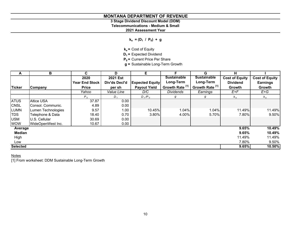# **3 Stage Dividend Discount Model (DDM)**

**Telecommunications - Medium & Small**

**2021 Assessment Year**

 $k_e = (D_1 / P_0) + g$ 

**ke =** Cost of Equity

**D<sub>1</sub>** = Expected Dividend

**P<sub>0</sub>** = Current Price Per Share

**g =** Sustainable Long-Term Growth

| A               | в                  | C.                    | D               | Е                      | F.                         | G                          | н                     |                       |
|-----------------|--------------------|-----------------------|-----------------|------------------------|----------------------------|----------------------------|-----------------------|-----------------------|
|                 |                    | 2020                  | <b>2021 Est</b> |                        | <b>Sustainable</b>         | <b>Sustainable</b>         | <b>Cost of Equity</b> | <b>Cost of Equity</b> |
|                 |                    | <b>Year End Stock</b> | Div'ds Decl'd   | <b>Expected Equity</b> | Long-Term                  | Long-Term                  | <b>Dividend</b>       | <b>Earnings</b>       |
| <b>Ticker</b>   | Company            | <b>Price</b>          | per sh          | <b>Payout Yield</b>    | Growth Rate <sup>[1]</sup> | Growth Rate <sup>[1]</sup> | Growth                | Growth                |
|                 |                    | Yahoo                 | Value Line      | D/C                    | <b>Dividends</b>           | Earnings                   | $E+F$                 | $E+G$                 |
|                 |                    | $P_o$                 | $D_{1}$         | $D_1/P_0$              | g                          | g                          | $k_e$                 | $k_e$                 |
| <b>ATUS</b>     | <b>Altice USA</b>  | 37.87                 | 0.00            |                        |                            |                            |                       |                       |
| <b>CNSL</b>     | Consol. Communic.  | 4.89                  | 0.00            |                        |                            |                            |                       |                       |
| <b>LUMN</b>     | Lumen Technologies | 9.57                  | 1.00            | 10.45%                 | 1.04%                      | 1.04%                      | 11.49%                | 11.49%                |
| <b>TDS</b>      | Telephone & Data   | 18.40                 | 0.70            | 3.80%                  | 4.00%                      | 5.70%                      | 7.80%                 | 9.50%                 |
| <b>USM</b>      | U.S. Cellular      | 30.69                 | 0.00            |                        |                            |                            |                       |                       |
| <b>WOW</b>      | WideOpenWest Inc.  | 10.67                 | 0.00            |                        |                            |                            |                       |                       |
| Average         |                    |                       |                 |                        |                            |                            | 9.65%                 | 10.49%                |
| <b>Median</b>   |                    |                       |                 |                        |                            |                            | 9.65%                 | 10.49%                |
| High            |                    |                       |                 |                        |                            |                            | 11.49%                | 11.49%                |
| Low             |                    |                       |                 |                        |                            |                            | 7.80%                 | 9.50%                 |
| <b>Selected</b> |                    |                       |                 |                        |                            |                            | 9.65%                 | 10.50%                |

# <u>Notes</u>

[1] From worksheet: DDM Sustainable Long-Term Growth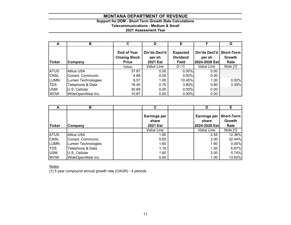# **Support for DDM - Short Term Growth Rate Calculations**

# **Telecommunications - Medium & Small**

# **2021 Assessment Year**

| A             | в                  | C                                                          | D                                          | Е                                           | c                                        | G                                   |
|---------------|--------------------|------------------------------------------------------------|--------------------------------------------|---------------------------------------------|------------------------------------------|-------------------------------------|
| <b>Ticker</b> | Company            | <b>End of Year</b><br><b>Closing Stock</b><br><b>Price</b> | Div'ds Decl'd<br>per sh<br><b>2021 Est</b> | <b>Expected</b><br><b>Dividend</b><br>Yield | Div'ds Decl'd<br>per sh<br>2024-2026 Est | <b>Short-Term</b><br>Growth<br>Rate |
|               |                    | Yahoo                                                      | Value Line                                 | D/C                                         | Value Line                               | Note [1]                            |
| <b>ATUS</b>   | <b>Altice USA</b>  | 37.87                                                      | 0.00                                       | $0.00\%$                                    | 0.00                                     |                                     |
| <b>CNSL</b>   | Consol. Communic.  | 4.89                                                       | 0.00                                       | $0.00\%$                                    | 0.00                                     |                                     |
| <b>LUMN</b>   | Lumen Technologies | 9.57                                                       | 1.00                                       | 10.45%                                      | 1.00                                     | $0.00\%$                            |
| <b>TDS</b>    | Telephone & Data   | 18.40                                                      | 0.70                                       | 3.80%                                       | 0.80                                     | 3.39%                               |
| <b>USM</b>    | U.S. Cellular      | 30.69                                                      | 0.00                                       | $0.00\%$                                    | 0.00                                     |                                     |
| <b>WOW</b>    | WideOpenWest Inc.  | 10.67                                                      | 0.00                                       | $0.00\%$                                    | 0.00                                     |                                     |

| A             | в                  |                                                 | D                                             | Е                                   |
|---------------|--------------------|-------------------------------------------------|-----------------------------------------------|-------------------------------------|
| <b>Ticker</b> | Company            | <b>Earnings per</b><br>share<br><b>2021 Est</b> | <b>Earnings per</b><br>share<br>2024-2026 Est | <b>Short-Term</b><br>Growth<br>Rate |
|               |                    | Value Line                                      | Value Line                                    | Note [1]                            |
| <b>ATUS</b>   | <b>Altice USA</b>  | 1.60                                            | 2.55                                          | 12.36%                              |
| <b>CNSL</b>   | Consol. Communic.  | 0.65                                            | 2.00                                          | 32.44%                              |
| <b>LUMN</b>   | Lumen Technologies | 1.60                                            | 1.60                                          | 0.00%                               |
| <b>TDS</b>    | Telephone & Data   | 1.15                                            | 1.50                                          | 6.87%                               |
| <b>USM</b>    | U.S. Cellular      | 1.60                                            | 2.00                                          | 5.74%                               |
| <b>WOW</b>    | WideOpenWest Inc.  | 0.60                                            | 1.00                                          | 13.62%                              |

Notes

[1] 5 year compound annual growth rate (CAGR) - 4 periods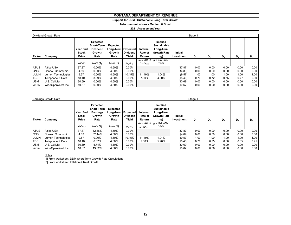# **Support for DDM - Sustainable Long Term Growth**

**Telecommunications - Medium & Small**

#### **2021 Assessment Year**

|               | Dividend Growth Rate |                                          |                                                                           |                                                  |                          |                               |                                                             |                              | Stage 1 |                |       |       |       |
|---------------|----------------------|------------------------------------------|---------------------------------------------------------------------------|--------------------------------------------------|--------------------------|-------------------------------|-------------------------------------------------------------|------------------------------|---------|----------------|-------|-------|-------|
| <b>Ticker</b> | Company              | <b>Year End</b><br><b>Stock</b><br>Price | Expected<br><b>Short-Term</b><br><b>Dividend</b><br><b>Growth</b><br>Rate | Expected<br>Long-Term Expected<br>Growth<br>Rate | <b>Dividend</b><br>Yield | Internal<br>Rate of<br>Return | Implied<br>Sustainable<br>Long-Term<br>l Growth Rate<br>(g) | <b>Initial</b><br>Investment | $D_4$   | D <sub>2</sub> | $D_3$ | $D_4$ | $D_5$ |
|               |                      |                                          |                                                                           |                                                  |                          | $Ke = IRR$ of                 | $g = IRR - \overline{Div}$ .                                |                              |         |                |       |       |       |
|               |                      | Yahoo                                    | Note [1]                                                                  | Note [2]                                         | $D_1/P_0$                | $D_1$ : $D_{500}$             | Yield                                                       |                              |         |                |       |       |       |
| <b>ATUS</b>   | <b>Altice USA</b>    | 37.87                                    | $0.00\%$                                                                  | 4.50%                                            | $0.00\%$                 |                               |                                                             | (37.87)                      | 0.00    | 0.00           | 0.00  | 0.00  | 0.00  |
| <b>CNSL</b>   | Consol. Communic.    | 4.89                                     | 0.00%                                                                     | 4.50%                                            | $0.00\%$                 |                               |                                                             | (4.89)                       | 0.00    | 0.00           | 0.00  | 0.00  | 0.00  |
| <b>LUMN</b>   | Lumen Technologies   | 9.57                                     | 0.00%                                                                     | 4.50%                                            | 10.45%                   | 11.49%                        | 1.04%                                                       | (9.57)                       | 1.00    | 1.00           | 1.00  | 1.00  | 1.00  |
| <b>TDS</b>    | Telephone & Data     | 18.40                                    | 3.39%                                                                     | 4.50%                                            | 3.80%                    | 7.80%                         | 4.00%                                                       | (18.40)                      | 0.70    | 0.72           | 0.75  | 0.77  | 0.80  |
| <b>USM</b>    | U.S. Cellular        | 30.69                                    | 0.00%                                                                     | 4.50%                                            | $0.00\%$                 |                               |                                                             | (30.69)                      | 0.00    | 0.00           | 0.00  | 0.00  | 0.00  |
| <b>WOW</b>    | WideOpenWest Inc.    | 10.67                                    | $0.00\%$                                                                  | 4.50%                                            | $0.00\%$                 |                               |                                                             | (10.67)                      | 0.00    | 0.00           | 0.00  | 0.00  | 0.00  |

|                            | Earnings Growth Rate                   |                                          |                                                                           |                                                         |                          |                                    |                                                                  |                              | Stage 1      |              |              |              |                           |  |  |
|----------------------------|----------------------------------------|------------------------------------------|---------------------------------------------------------------------------|---------------------------------------------------------|--------------------------|------------------------------------|------------------------------------------------------------------|------------------------------|--------------|--------------|--------------|--------------|---------------------------|--|--|
| <b>Ticker</b>              | Company                                | <b>Year End</b><br><b>Stock</b><br>Price | <b>Expected</b><br><b>Short-Term</b><br><b>Earnings</b><br>Growth<br>Rate | <b>Expected</b><br>Long-Term Expected<br>Growth<br>Rate | <b>Dividend</b><br>Yield | Internal<br>Rate of<br>Return      | Implied<br>Sustainable<br>Long-Term<br><b>Growth Rate</b><br>(g) | <b>Initial</b><br>Investment | $D_1$        | D,           | $D_3$        | $D_4$        | $D_5$                     |  |  |
|                            |                                        | Yahoo                                    | Note [1]                                                                  | Note [2]                                                | $D_1/P_0$                | $Ke = IRR$ of<br>$D_1$ : $D_{500}$ | $g = IRR - Div.$<br>Yield                                        |                              |              |              |              |              |                           |  |  |
| <b>ATUS</b><br><b>CNSL</b> | <b>Altice USA</b><br>Consol. Communic. | 37.87<br>4.89                            | 12.36%<br>32.44%                                                          | 4.50%<br>4.50%                                          | $0.00\%$<br>$0.00\%$     |                                    |                                                                  | (37.87)<br>(4.89)            | 0.00<br>0.00 | 0.00<br>0.00 | 0.00<br>0.00 | 0.00<br>0.00 | 0.00<br>0.00              |  |  |
| <b>LUMN</b><br><b>TDS</b>  | Lumen Technologies<br>Telephone & Data | 9.57<br>18.40                            | $0.00\%$<br>6.87%                                                         | 4.50%<br>4.50%                                          | 10.45%<br>3.80%          | 11.49%<br>9.50%                    | 1.04%<br>5.70%                                                   | (9.57)<br>(18.40)            | 1.00<br>0.70 | 1.00<br>0.75 | 1.00<br>0.80 | 1.00<br>0.85 | 1.00 <sub>1</sub><br>0.91 |  |  |
| <b>USM</b><br><b>WOW</b>   | U.S. Cellular<br>WideOpenWest Inc.     | 30.69<br>10.67                           | 5.74%<br>13.62%                                                           | 4.50%<br>4.50%                                          | 0.00%<br>$0.00\%$        |                                    |                                                                  | (30.69)<br>(10.67)           | 0.00<br>0.00 | 0.00<br>0.00 | 0.00<br>0.00 | 0.00<br>0.00 | 0.00<br>0.00              |  |  |

#### Notes

[1] From worksheet: DDM Short Term Growth Rate Calculations

[2] From worksheet: Inflation & Real Growth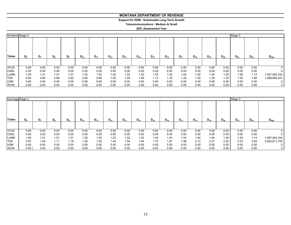# **Support for DDM - Sustainable Long Term Growth**

**Telecommunications - Medium & Small**

| Dividend Stage 2 |              |                |       |       |          |          |          |          |          |          |          |          |          |                   |          | Stage 3  |          |               |
|------------------|--------------|----------------|-------|-------|----------|----------|----------|----------|----------|----------|----------|----------|----------|-------------------|----------|----------|----------|---------------|
| Ticker           | $D_{\kappa}$ | D <sub>7</sub> | $D_8$ | $D_9$ | $D_{10}$ | $D_{11}$ | $D_{12}$ | $D_{13}$ | $D_{14}$ | $D_{15}$ | $D_{16}$ | $D_{17}$ | $D_{18}$ | $\mathsf{D}_{19}$ | $D_{20}$ | $D_{21}$ | $D_{22}$ | $D_{500}$     |
|                  |              |                |       |       |          |          |          |          |          |          |          |          |          |                   |          |          |          |               |
| <b>ATUS</b>      | 0.00         | 0.00           | 0.00  | 0.00  | 0.00     | 0.00     | 0.00     | 0.00     | 0.00     | 0.00     | 0.00     | 0.00     | 0.00     | 0.00              | 0.00     | 0.00     | 0.00     |               |
| <b>CNSL</b>      | 0.00         | 0.00           | 0.00  | 0.00  | 0.00     | 0.00     | 0.00     | 0.00     | 0.00     | 0.00     | 0.00     | 0.00     | 0.00     | 0.00              | 0.00     | 0.00     | 0.00     | 0             |
| <b>LUMN</b>      | 1.00         | 1.01           | 1.01  | 1.01  | 1.02     | 1.02     | 1.02     | 1.02     | 1.03     | 1.03     | 1.03     | 1.04     | 1.04     | 1.04              | 1.05     | 1.09     | 1.14     | 1,567,954,334 |
| <b>TDS</b>       | 0.83         | 0.86           | 0.89  | 0.92  | 0.95     | 0.98     | 1.02     | 1.05     | 1.09     | 1.13     | 1.16     | 1.20     | 1.25     | 1.29              | 1.33     | 1.39     | 1.46     | 1,999,956,251 |
| <b>USM</b>       | 0.00         | 0.00           | 0.00  | 0.00  | 0.00     | 0.00     | 0.00     | 0.00     | 0.00     | 0.00     | 0.00     | 0.00     | 0.00     | 0.00              | 0.00     | 0.00     | 0.00     |               |
| <b>WOW</b>       | 0.00         | 0.00           | 0.00  | 0.00  | 0.00     | 0.00     | 0.00     | 0.00     | 0.00     | 0.00     | 0.00     | 0.00     | 0.00     | 0.00              | 0.00     | 0.00     | 0.00     | 0             |

| Earnings Stage 2 |       |       |       |       |          |          |          |          |          |          |          |          |          |          |          | Stage 3  |          |               |
|------------------|-------|-------|-------|-------|----------|----------|----------|----------|----------|----------|----------|----------|----------|----------|----------|----------|----------|---------------|
| <b>Ticker</b>    | $D_6$ | $D_7$ | $D_8$ | $D_9$ | $D_{10}$ | $D_{11}$ | $D_{12}$ | $D_{13}$ | $D_{14}$ | $D_{15}$ | $D_{16}$ | $D_{17}$ | $D_{18}$ | $D_{19}$ | $D_{20}$ | $D_{21}$ | $D_{22}$ | $D_{500}$     |
|                  |       |       |       |       |          |          |          |          |          |          |          |          |          |          |          |          |          |               |
| <b>ATUS</b>      | 0.00  | 0.00  | 0.00  | 0.00  | 0.00     | 0.00     | 0.00     | 0.00     | 0.00     | 0.00     | 0.00     | 0.00     | 0.00     | 0.00     | 0.00     | 0.00     | 0.00     | 0             |
| <b>CNSL</b>      | 0.00  | 0.00  | 0.00  | 0.00  | 0.00     | 0.00     | 0.00     | 0.00     | 0.00     | 0.00     | 0.00     | 0.00     | 0.00     | 0.00     | 0.00     | 0.00     | 0.00     | 0             |
| <b>LUMN</b>      | 1.00  | 1.01  | 1.01  | 1.01  | 1.02     | 1.02     | 1.02     | 1.02     | 1.03     | 1.03     | 1.03     | 1.04     | 1.04     | 1.04     | 1.05     | 1.09     | 1.14     | 1,567,954,334 |
| <b>TDS</b>       | 0.97  | 1.04  | 1.11  | 1.18  | 1.26     | 1.35     | 1.44     | 1.54     | 1.64     | 1.75     | 1.87     | 1.99     | 2.12     | 2.27     | 2.42     | 2.53     | 2.64     | 3,625,811,700 |
| <b>USM</b>       | 0.00  | 0.00  | 0.00  | 0.00  | 0.00     | 0.00     | 0.00     | 0.00     | 0.00     | 0.00     | 0.00     | 0.00     | 0.00     | 0.00     | 0.00     | 0.00     | 0.00     | 0             |
| <b>WOW</b>       | 0.00  | 0.00  | 0.00  | 0.00  | 0.00     | 0.00     | 0.00     | 0.00     | 0.00     | 0.00     | 0.00     | 0.00     | 0.00     | 0.00     | 0.00     | 0.00     | 0.00     | 0             |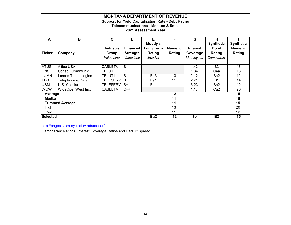# **Support for Yield Capitalization Rate - Debt Rating**

**Telecommunications - Medium & Small**

## **2021 Assessment Year**

| A               | B                      | C               | D                | Е                | F              | G               | н                |                  |
|-----------------|------------------------|-----------------|------------------|------------------|----------------|-----------------|------------------|------------------|
|                 |                        |                 |                  | Moody's          |                |                 | <b>Synthetic</b> | <b>Synthetic</b> |
|                 |                        | <b>Industry</b> | <b>Financial</b> | <b>Long Term</b> | <b>Numeric</b> | <b>Interest</b> | <b>Bond</b>      | <b>Numeric</b>   |
| <b>Ticker</b>   | Company                | Group           | <b>Strength</b>  | Rating           | Rating         | Coverage        | Rating           | Rating           |
|                 |                        | Value Line      | Value Line       | Moodys           |                | Morningstar     | Damodaran        |                  |
|                 |                        |                 |                  |                  |                |                 |                  |                  |
| <b>ATUS</b>     | <b>Altice USA</b>      | <b>CABLETV</b>  | B                |                  |                | 1.43            | B <sub>3</sub>   | 16               |
| <b>CNSL</b>     | Consol. Communic.      | TELUTIL         | $C+$             |                  |                | 1.34            | Caa              | 18               |
| <b>LUMN</b>     | Lumen Technologies     | TELUTIL         | ΙB               | Ba3              | 13             | 2.12            | Ba2              | 12               |
| <b>TDS</b>      | Telephone & Data       | <b>TELESERV</b> | IВ               | Ba1              | 11             | 2.71            | B <sub>1</sub>   | 14               |
| <b>USM</b>      | U.S. Cellular          | <b>TELESERV</b> | IB+              | Ba1              | 11             | 3.23            | Ba2              | 12               |
| <b>WOW</b>      | WideOpenWest Inc.      | <b>CABLETV</b>  | $C++$            |                  |                | 1.17            | Ca <sub>2</sub>  | 20               |
| Average         |                        |                 |                  |                  | 12             |                 |                  | 15               |
| <b>Median</b>   |                        |                 |                  |                  | 11             |                 |                  | 15               |
|                 | <b>Trimmed Average</b> |                 |                  |                  | 11             |                 |                  | 15               |
| High            |                        |                 |                  |                  | 13             |                 |                  | 20               |
| Low             |                        |                 |                  |                  | 11             |                 |                  | 12               |
| <b>Selected</b> |                        |                 |                  | Ba2              | 12             | to              | <b>B2</b>        | 15               |

http://pages.stern.nyu.edu/~adamodar/

Damodaran: Ratings, Interest Coverage Ratios and Default Spread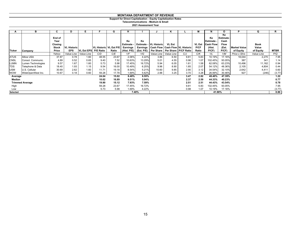#### **Support for Direct Capitalization - Equity Capitalization Rates**

**Telecommunications - Medium & Small**

|               | в                      | C       | D                  | Е.                      |                        | G     | н               |          |                                | κ                                          |      | м             | N                | Ο                     | D                   | Q          | R           |
|---------------|------------------------|---------|--------------------|-------------------------|------------------------|-------|-----------------|----------|--------------------------------|--------------------------------------------|------|---------------|------------------|-----------------------|---------------------|------------|-------------|
|               |                        | End of  |                    |                         |                        |       |                 |          |                                |                                            |      |               | Ke               | Ke<br><b>Estimate</b> |                     |            |             |
|               |                        | Year    |                    |                         |                        |       | Ke              | Ke       |                                |                                            |      |               | Estimate -       | Cash                  |                     |            |             |
|               |                        | Closing |                    |                         |                        |       | Estimate        |          | <b>Estimate - IVL Historic</b> | <b>VL Est</b>                              |      | <b>VL Est</b> | <b>Cash Flow</b> | <b>Flow</b>           |                     | Book       |             |
|               |                        | Stock   | <b>VL Historic</b> |                         | VL Historic VL Est P/E |       | <b>Earnings</b> | Earnings |                                | <b>Cash Flow   Cash Flow   VL Historic</b> |      | P/CF          | (Hist.           | (Est.                 | <b>Market Value</b> | Value      |             |
| <b>Ticker</b> | Company                | Price   | <b>EPS</b>         | VL Est EPS P/E Ratio    |                        | Ratio | (Hist. P/E)     |          |                                | (Est. P/E) Per Share Per Share P/CF Ratio  |      | Ratio         | P(CF)            | P(CF)                 | of Equity           | of Equity  | <b>MTBR</b> |
|               |                        | Yahoo   |                    | Value Line   Value Line | C/D                    | C/E   | 1/F             | 1/G      | Value Line   Value Line        |                                            | C/J  | C/K           | 1/L              | 1/M                   | Price x Shrs        | Value Line | P/Q         |
| <b>ATUS</b>   | <b>Altice USA</b>      | 37.87   | 0.78               | 1.60                    | 48.55                  | 23.67 | 2.06%           | 4.22%    | 3.86                           | 6.50                                       | 9.81 | 5.83          | 10.19%           | 17.16%                | 18,044              | 2,270      | 7.95        |
| <b>CNSL</b>   | Consol. Communic.      | 4.89    | 0.52               | 0.65                    | 9.40                   | 7.52  | 10.63%          | 13.29%   | 5.01                           | 4.55                                       | 0.98 | 1.07          | 102.45%          | 93.05%                | 387                 | 341        | 1.14        |
| <b>LUMN</b>   | Lumen Technologies     | 9.57    | 1.67               | 1.60                    | 5.73                   | 5.98  | 17.45%          | 16.72%   | 5.94                           | 6.05                                       | 1.61 | 1.58          | 62.08%           | 63.23%                | 10,496              | 11,162     | 0.94        |
| <b>TDS</b>    | Telephone & Data       | 18.40   | 1.93               | 1.15                    | 9.54                   | 16.00 | 10.49%          | 6.25%    | 9.96                           | 8.90                                       | 1.85 | 2.07          | 54.12%           | 48.36%                | 2,105               | 4,804      | 0.44        |
| <b>USM</b>    | U.S. Cellular          | 30.69   | 2.62               | 1.60                    | 11.71                  | 19.18 | 8.54%           | 5.21%    | 10.60                          | 9.85                                       | 2.90 | 3.12          | 34.54%           | 32.10%                | 2,642               | 4,411      | 0.60        |
| <b>WOW</b>    | WideOpenWest Inc.      | 10.67   | 0.18               | 0.60                    | 59.28                  | 17.78 | 1.69%           | 5.62%    | 2.88                           | 3.25                                       | 3.70 | 3.28          | 26.99%           | 30.46%                | 927                 | (246)      | (3.77)      |
| Average       |                        |         |                    |                         | 24.04                  | 15.02 | 8.48%           | 8.55%    |                                |                                            | 3.47 | 2.82          | 48.40%           | 47.39%                |                     |            | 1.22        |
| Median        |                        |         |                    |                         | 10.62                  | 16.89 | 9.51%           | 5.94%    |                                |                                            | 2.37 | 2.59          | 44.33%           | 40.23%                |                     |            | 0.77        |
|               | <b>Trimmed Average</b> |         |                    |                         | 19.80                  | 15.12 | 7.93%           | 7.59%    |                                |                                            | 2.51 | 2.51          | 44.43%           | 43.54%                |                     |            | 0.78        |
| High          |                        |         |                    |                         | 59.28                  | 23.67 | 17.45%          | 16.72%   |                                |                                            | 9.81 | 5.83          | 102.45%          | 93.05%                |                     |            | 7.95        |
| Low           |                        |         |                    |                         | 5.73                   | 5.98  | 1.69%           | 4.22%    |                                |                                            | 0.98 | 1.07          | 10.19%           | 17.16%                |                     |            | (3.77)      |
| Selected      |                        |         |                    |                         |                        |       |                 | 7.40%    |                                |                                            |      |               | 41.90%           |                       |                     |            | 0.80        |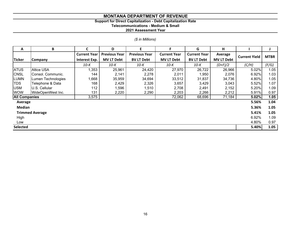#### **Support for Direct Capitalization - Debt Capitalization Rate**

**Telecommunications - Medium & Small**

|  | (\$ in Millions) |
|--|------------------|
|  |                  |

| A                    | B                      | C                   | D                    | E                    | F                   | G                   | н                 |                      |             |
|----------------------|------------------------|---------------------|----------------------|----------------------|---------------------|---------------------|-------------------|----------------------|-------------|
|                      |                        | <b>Current Year</b> | <b>Previous Year</b> | <b>Previous Year</b> | <b>Current Year</b> | <b>Current Year</b> | Average           | <b>Current Yield</b> | <b>MTBR</b> |
| <b>Ticker</b>        | <b>Company</b>         | Interest Exp.       | <b>MV LT Debt</b>    | <b>BV LT Debt</b>    | <b>MV LT Debt</b>   | <b>BV LT Debt</b>   | <b>MV LT Debt</b> |                      |             |
|                      |                        | 10-K                | 10-K                 | $10-K$               | 10-K                | 10-K                | $(D+F)/2$         | (C/H)                | (F/G)       |
| <b>ATUS</b>          | <b>Altice USA</b>      | 1,353               | 25,961               | 24,420               | 27,970              | 26,722              | 26,966            | 5.02%                | 1.05        |
| <b>CNSL</b>          | Consol. Communic.      | 144                 | 2,141                | 2,278                | 2,011               | 1,950               | 2,076             | 6.92%                | 1.03        |
| <b>ILUMN</b>         | Lumen Technologies     | 1,668               | 35,959               | 34,694               | 33,512              | 31,837              | 34,736            | 4.80%                | 1.05        |
| <b>TDS</b>           | Telephone & Data       | 168                 | 2,429                | 2,326                | 3,657               | 3,429               | 3,043             | 5.52%                | 1.07        |
| <b>USM</b>           | U.S. Cellular          | 112                 | 1,596                | 1,510                | 2,708               | 2,491               | 2,152             | 5.20%                | 1.09        |
| <b>WOW</b>           | WideOpenWest Inc.      | 131                 | 2,220                | 2,290                | 2,203               | 2,266               | 2,212             | 5.91%                | 0.97        |
| <b>All Companies</b> |                        | 3,575               |                      |                      | 72,062              | 68,696              | 71,184            | 5.02%                | 1.05        |
| Average              |                        |                     |                      |                      |                     |                     |                   | 5.56%                | 1.04        |
| Median               |                        |                     |                      |                      |                     |                     |                   | 5.36%                | 1.05        |
|                      | <b>Trimmed Average</b> |                     |                      |                      |                     |                     |                   | 5.41%                | 1.05        |
| High                 |                        |                     |                      |                      |                     |                     |                   | 6.92%                | 1.09        |
| Low                  |                        |                     |                      |                      |                     |                     |                   | 4.80%                | 0.97        |
| <b>Selected</b>      |                        |                     |                      |                      |                     |                     |                   | 5.40%                | 1.05        |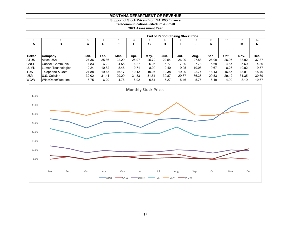**Support of Stock Price - From YAHOO Finance Telecommunications - Medium & Small**

|               |                    |       | <b>End of Period Closing Stock Price</b> |       |       |       |       |       |       |       |       |       |       |
|---------------|--------------------|-------|------------------------------------------|-------|-------|-------|-------|-------|-------|-------|-------|-------|-------|
|               |                    |       |                                          |       |       |       |       |       | 10    |       |       | 13    | 14    |
| A             | в                  | С     | D                                        |       |       | G     | н     |       |       | n     |       | M     | N     |
|               |                    |       |                                          |       |       |       |       |       |       |       |       |       |       |
| <b>Ticker</b> |                    |       |                                          | Mar.  |       |       |       |       |       |       |       |       |       |
|               | <b>Company</b>     | Jan.  | Feb.                                     |       | Apr.  | May.  | Jun.  | Jul.  | Aug.  | Sep.  | Oct.  | Nov.  | Dec.  |
| <b>ATUS</b>   | <b>Altice USA</b>  | 27.36 | 25.86                                    | 22.29 | 25.97 | 25.72 | 22.54 | 26.99 | 27.58 | 26.00 | 26.95 | 33.92 | 37.87 |
| <b>CNSL</b>   | Consol. Communic.  | 4.83  | 6.22                                     | 4.55  | 6.27  | 6.06  | 6.77  | 7.30  | 7.78  | 5.69  | 4.67  | 5.60  | 4.89  |
| <b>LUMN</b>   | Lumen Technologies | 12.24 | 10.82                                    | 8.48  | 9.71  | 8.99  | 9.40  | 9.05  | 10.08 | 9.67  | 8.26  | 10.02 | 9.57  |
| <b>ITDS</b>   | Telephone & Data   | 21.88 | 19.43                                    | 16.17 | 19.12 | 19.97 | 19.38 | 19.09 | 22.74 | 18.13 | 16.85 | 18.81 | 18.40 |
| <b>USM</b>    | U.S. Cellular      | 32.02 | 31.41                                    | 29.29 | 31.83 | 31.51 | 30.87 | 29.67 | 36.38 | 29.53 | 29.12 | 31.35 | 30.69 |
| <b>WOW</b>    | WideOpenWest Inc.  | 6.75  | 6.29                                     | 4.76  | 5.92  | 6.51  | 5.27  | 5.46  | 5.75  | 5.19  | 4.99  | 8.19  | 10.67 |